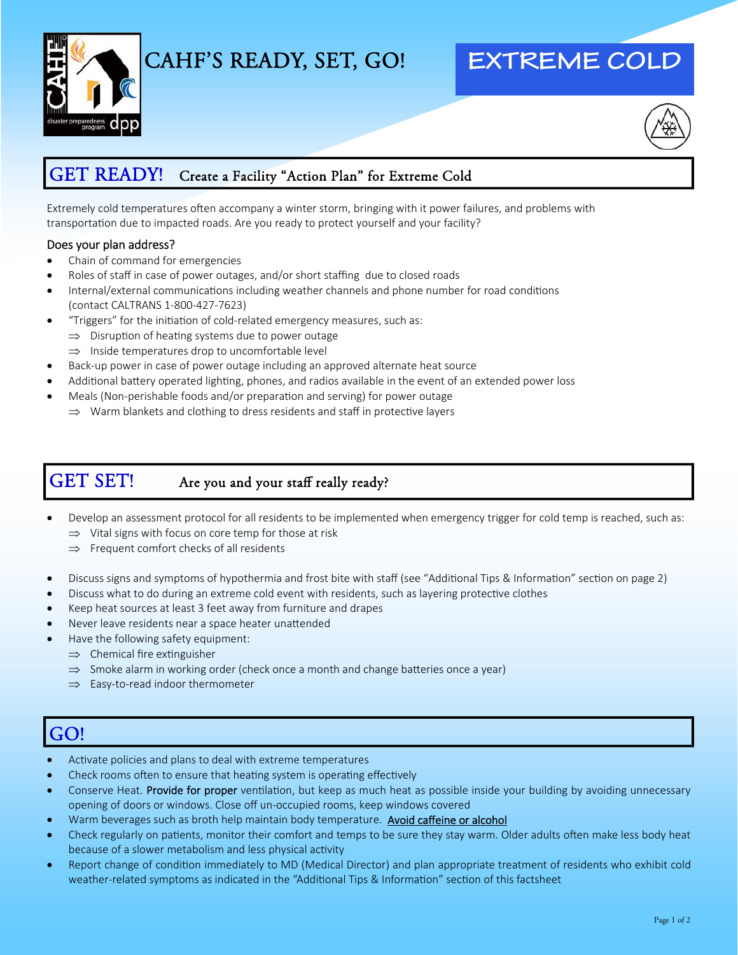

# CAHF'S READY, SET, GO!

# **EXTREME COLD**



### GET READY! Create a Facility "Action Plan" for Extreme Cold

Extremely cold temperatures often accompany a winter storm, bringing with it power failures, and problems with transportation due to impacted roads. Are you ready to protect yourself and your facility?

#### Does your plan address?

- Chain of command for emergencies
- Roles of staff in case of power outages, and/or short staffing due to closed roads
- Internal/external communications including weather channels and phone number for road conditions (contact CALTRANS 1‐800‐427‐7623)
- "Triggers" for the initiation of cold-related emergency measures, such as:
	- $\implies$  Disruption of heating systems due to power outage
	- $\Rightarrow$  Inside temperatures drop to uncomfortable level
- Back‐up power in case of power outage including an approved alternate heat source
- Additional battery operated lighting, phones, and radios available in the event of an extended power loss
- Meals (Non-perishable foods and/or preparation and serving) for power outage  $\Rightarrow$  Warm blankets and clothing to dress residents and staff in protective layers

### GET SET! Are you and your staff really ready?

- Develop an assessment protocol for all residents to be implemented when emergency trigger for cold temp is reached, such as:  $\Rightarrow$  Vital signs with focus on core temp for those at risk
	- $\Rightarrow$  Frequent comfort checks of all residents
- Discuss signs and symptoms of hypothermia and frost bite with staff (see "Additional Tips & Information" section on page 2)
- Discuss what to do during an extreme cold event with residents, such as layering protective clothes
- Keep heat sources at least 3 feet away from furniture and drapes
- Never leave residents near a space heater unattended
- Have the following safety equipment:
	- $\Rightarrow$  Chemical fire extinguisher
	- $\Rightarrow$  Smoke alarm in working order (check once a month and change batteries once a year)
	- $\Rightarrow$  Easy-to-read indoor thermometer

## GO!

- Activate policies and plans to deal with extreme temperatures
- Check rooms often to ensure that heating system is operating effectively
- Conserve Heat. Provide for proper ventilation, but keep as much heat as possible inside your building by avoiding unnecessary opening of doors or windows. Close off un‐occupied rooms, keep windows covered
- Warm beverages such as broth help maintain body temperature. Avoid caffeine or alcohol
- Check regularly on patients, monitor their comfort and temps to be sure they stay warm. Older adults often make less body heat because of a slower metabolism and less physical activity
- Report change of condition immediately to MD (Medical Director) and plan appropriate treatment of residents who exhibit cold weather-related symptoms as indicated in the "Additional Tips & Information" section of this factsheet